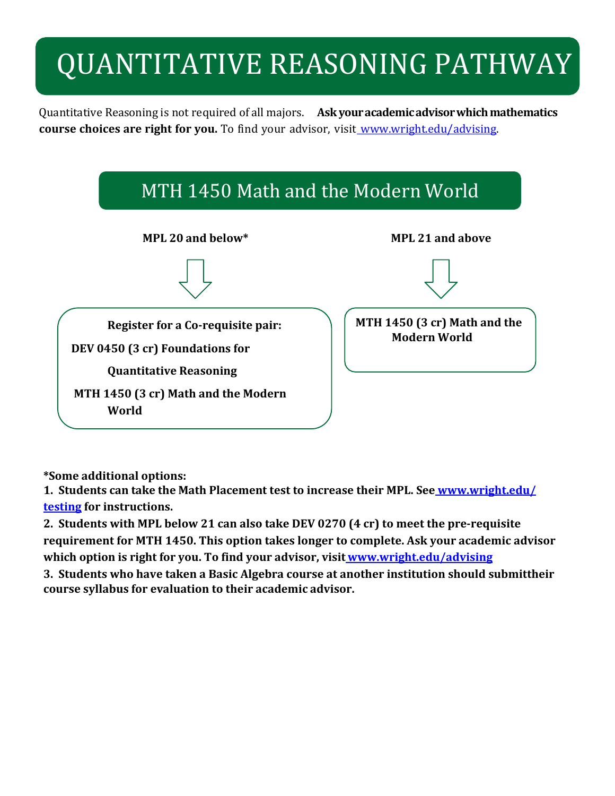# QUANTITATIVE REASONING PATHWAY

Quantitative Reasoning is not required of all majors. **Ask youracademicadvisorwhichmathematics course choices are right for you.** To find your advisor, visit [www.wright.edu/advising.](http://www.wright.edu/advising)



**\*Some additional options:**

**1. Students can take the Math Placement test to increase their MPL. See [www.wright.edu/](http://www.wright.edu/testing) [testing](http://www.wright.edu/testing) for instructions.**

**2. Students with MPL below 21 can also take DEV 0270 (4 cr) to meet the pre-requisite requirement for MTH 1450. This option takes longer to complete. Ask your academic advisor which option is right for you. To find your advisor, visit [www.wright.edu/advising](http://www.wright.edu/advising)**

**3. Students who have taken a Basic Algebra course at another institution should submittheir course syllabus for evaluation to their academic advisor.**